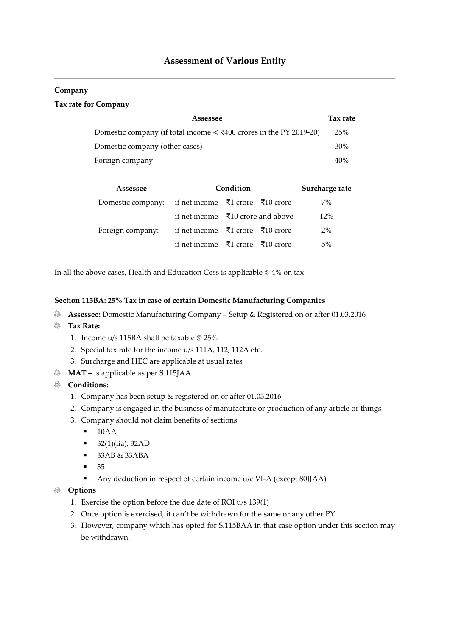# **Assessment of Various Entity**

#### **Company**

#### **Tax rate for Company**

| Assessee                                                                              | Tax rate |
|---------------------------------------------------------------------------------------|----------|
| Domestic company (if total income $\langle \xi \rangle$ 400 crores in the PY 2019-20) | 25%      |
| Domestic company (other cases)                                                        | 30%      |
| Foreign company                                                                       | 40%      |

| Assessee                                             | Condition                                            | Surcharge rate |
|------------------------------------------------------|------------------------------------------------------|----------------|
| Domestic company: if net income ₹1 crore – ₹10 crore |                                                      | $7\%$          |
|                                                      | if net income $\bar{x}$ 10 crore and above           | 12%            |
| Foreign company:                                     | if net income $\bar{x}$ 1 crore – $\bar{x}$ 10 crore | $2\%$          |
|                                                      | if net income $\bar{x}$ 1 crore – $\bar{x}$ 10 crore | 5%             |

In all the above cases, Health and Education Cess is applicable @ 4% on tax

#### **Section 115BA: 25% Tax in case of certain Domestic Manufacturing Companies**

- **Assessee:** Domestic Manufacturing Company Setup & Registered on or after 01.03.2016
- **Tax Rate:** 
	- 1. Income u/s 115BA shall be taxable @ 25%
	- 2. Special tax rate for the income u/s 111A, 112, 112A etc.
	- 3. Surcharge and HEC are applicable at usual rates
- **MAT** is applicable as per S.115JAA

#### **Conditions:**

- 1. Company has been setup & registered on or after 01.03.2016
- 2. Company is engaged in the business of manufacture or production of any article or things
- 3. Company should not claim benefits of sections
	- 10AA
	- 32(1)(iia), 32AD
	- $\bullet$  33AB & 33ABA
	- 35
	- Any deduction in respect of certain income u/c VI-A (except 80JJAA)

#### **Options**

- 1. Exercise the option before the due date of ROI u/s 139(1)
- 2. Once option is exercised, it can't be withdrawn for the same or any other PY
- 3. However, company which has opted for S.115BAA in that case option under this section may be withdrawn.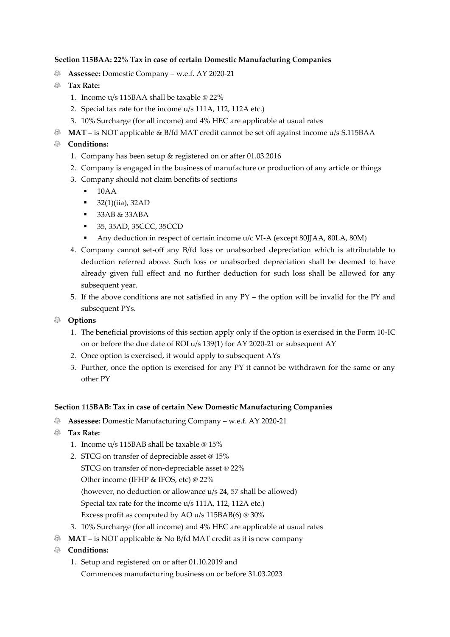### **Section 115BAA: 22% Tax in case of certain Domestic Manufacturing Companies**

都 **Assessee:** Domestic Company – w.e.f. AY 2020-21

# **Tax Rate:**

- 1. Income u/s 115BAA shall be taxable @ 22%
- 2. Special tax rate for the income u/s 111A, 112, 112A etc.)
- 3. 10% Surcharge (for all income) and 4% HEC are applicable at usual rates
- **MAT** is NOT applicable & B/fd MAT credit cannot be set off against income u/s S.115BAA

# **Conditions:**

- 1. Company has been setup & registered on or after 01.03.2016
- 2. Company is engaged in the business of manufacture or production of any article or things
- 3. Company should not claim benefits of sections
	- 10AA
	- $\blacksquare$  32(1)(iia), 32AD
	- $\blacksquare$  33AB & 33ABA
	- 35, 35AD, 35CCC, 35CCD
		- Any deduction in respect of certain income  $u/c$  VI-A (except 80JJAA, 80LA, 80M)
- 4. Company cannot set-off any B/fd loss or unabsorbed depreciation which is attributable to deduction referred above. Such loss or unabsorbed depreciation shall be deemed to have already given full effect and no further deduction for such loss shall be allowed for any subsequent year.
- 5. If the above conditions are not satisfied in any PY the option will be invalid for the PY and subsequent PYs.
- **Options**
	- 1. The beneficial provisions of this section apply only if the option is exercised in the Form 10-IC on or before the due date of ROI u/s 139(1) for AY 2020-21 or subsequent AY
	- 2. Once option is exercised, it would apply to subsequent AYs
	- 3. Further, once the option is exercised for any PY it cannot be withdrawn for the same or any other PY

### **Section 115BAB: Tax in case of certain New Domestic Manufacturing Companies**

- **Assessee:** Domestic Manufacturing Company w.e.f. AY 2020-21
- **Tax Rate:** 
	- 1. Income u/s 115BAB shall be taxable @ 15%
	- 2. STCG on transfer of depreciable asset @ 15%
		- STCG on transfer of non-depreciable asset @ 22%
		- Other income (IFHP & IFOS, etc) @ 22%

(however, no deduction or allowance u/s 24, 57 shall be allowed)

Special tax rate for the income u/s 111A, 112, 112A etc.)

Excess profit as computed by AO u/s 115BAB(6) @ 30%

- 3. 10% Surcharge (for all income) and 4% HEC are applicable at usual rates
- **MAT** is NOT applicable & No B/fd MAT credit as it is new company
- **Conditions:**
	- 1. Setup and registered on or after 01.10.2019 and Commences manufacturing business on or before 31.03.2023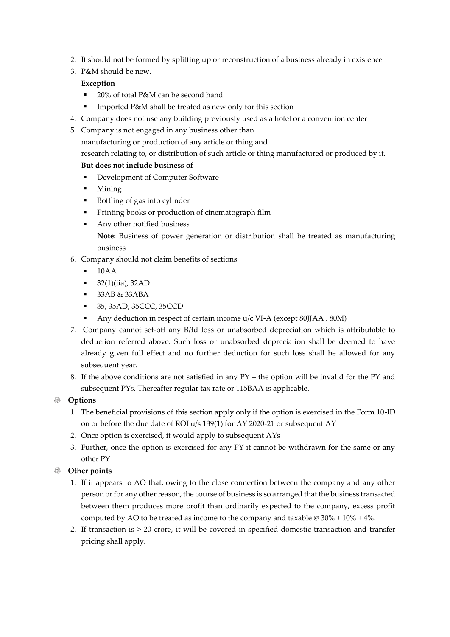- 2. It should not be formed by splitting up or reconstruction of a business already in existence
- 3. P&M should be new.

# **Exception**

- 20% of total P&M can be second hand
- **·** Imported P&M shall be treated as new only for this section
- 4. Company does not use any building previously used as a hotel or a convention center
- 5. Company is not engaged in any business other than
	- manufacturing or production of any article or thing and

research relating to, or distribution of such article or thing manufactured or produced by it.

# **But does not include business of**

- Development of Computer Software
- **Mining**
- Bottling of gas into cylinder
- Printing books or production of cinematograph film
- Any other notified business **Note:** Business of power generation or distribution shall be treated as manufacturing business
- 6. Company should not claim benefits of sections
	- $\blacksquare$  10AA
	- 32(1)(iia), 32AD
	- 33AB & 33ABA
	- 35, 35AD, 35CCC, 35CCD
	- Any deduction in respect of certain income u/c VI-A (except 80JJAA, 80M)
- 7. Company cannot set-off any B/fd loss or unabsorbed depreciation which is attributable to deduction referred above. Such loss or unabsorbed depreciation shall be deemed to have already given full effect and no further deduction for such loss shall be allowed for any subsequent year.
- 8. If the above conditions are not satisfied in any PY the option will be invalid for the PY and subsequent PYs. Thereafter regular tax rate or 115BAA is applicable.

# **Options**

- 1. The beneficial provisions of this section apply only if the option is exercised in the Form 10-ID on or before the due date of ROI u/s 139(1) for AY 2020-21 or subsequent AY
- 2. Once option is exercised, it would apply to subsequent AYs
- 3. Further, once the option is exercised for any PY it cannot be withdrawn for the same or any other PY

# **Other points**

- 1. If it appears to AO that, owing to the close connection between the company and any other person or for any other reason, the course of business is so arranged that the business transacted between them produces more profit than ordinarily expected to the company, excess profit computed by AO to be treated as income to the company and taxable  $\omega$  30% + 10% + 4%.
- 2. If transaction is  $> 20$  crore, it will be covered in specified domestic transaction and transfer pricing shall apply.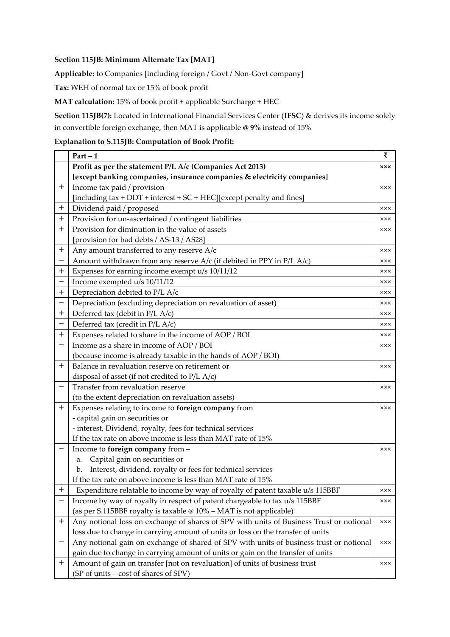# **Section 115JB: Minimum Alternate Tax [MAT]**

**Applicable:** to Companies [including foreign / Govt / Non-Govt company]

**Tax:** WEH of normal tax or 15% of book profit

**MAT calculation:** 15% of book profit + applicable Surcharge + HEC

**Section 115JB(7):** Located in International Financial Services Center (**IFSC**) & derives its income solely in convertible foreign exchange, then MAT is applicable **@ 9%** instead of 15%

# **Explanation to S.115JB: Computation of Book Profit:**

|                  | $Part - 1$                                                                              | ₹            |
|------------------|-----------------------------------------------------------------------------------------|--------------|
|                  | Profit as per the statement P/L A/c (Companies Act 2013)                                | <b>xxx</b>   |
|                  | [except banking companies, insurance companies & electricity companies]                 |              |
| $\pm$            | Income tax paid / provision                                                             | <b>xxx</b>   |
|                  | [including tax + DDT + interest + SC + HEC][except penalty and fines]                   |              |
| $\boldsymbol{+}$ | Dividend paid / proposed                                                                | $x \times x$ |
| $^{+}$           | Provision for un-ascertained / contingent liabilities                                   | <b>xxx</b>   |
| $^{+}$           | Provision for diminution in the value of assets                                         | <b>xxx</b>   |
|                  | [provision for bad debts / AS-13 / AS28]                                                |              |
| $\ddag$          | Any amount transferred to any reserve A/c                                               | <b>xxx</b>   |
|                  | Amount withdrawn from any reserve $A/c$ (if debited in PPY in P/L $A/c$ )               | <b>xxx</b>   |
| $^{+}$           | Expenses for earning income exempt u/s 10/11/12                                         | <b>xxx</b>   |
|                  | Income exempted u/s 10/11/12                                                            | <b>xxx</b>   |
| $\mathrm{+}$     | Depreciation debited to P/L A/c                                                         | <b>xxx</b>   |
|                  | Depreciation (excluding depreciation on revaluation of asset)                           | <b>xxx</b>   |
| $\boldsymbol{+}$ | Deferred tax (debit in P/L A/c)                                                         | <b>xxx</b>   |
|                  | Deferred tax (credit in P/L A/c)                                                        | <b>xxx</b>   |
| $^{+}$           | Expenses related to share in the income of AOP / BOI                                    | <b>xxx</b>   |
|                  | Income as a share in income of AOP / BOI                                                | <b>xxx</b>   |
|                  | (because income is already taxable in the hands of AOP / BOI)                           |              |
| $^{+}$           | Balance in revaluation reserve on retirement or                                         | <b>xxx</b>   |
|                  | disposal of asset (if not credited to P/L A/c)                                          |              |
|                  | Transfer from revaluation reserve                                                       | <b>xxx</b>   |
|                  | (to the extent depreciation on revaluation assets)                                      |              |
| $^{+}$           | Expenses relating to income to foreign company from                                     | <b>xxx</b>   |
|                  | - capital gain on securities or                                                         |              |
|                  | - interest, Dividend, royalty, fees for technical services                              |              |
|                  | If the tax rate on above income is less than MAT rate of 15%                            |              |
|                  | Income to foreign company from -                                                        | <b>xxx</b>   |
|                  | Capital gain on securities or<br>a.                                                     |              |
|                  | Interest, dividend, royalty or fees for technical services<br>b.                        |              |
|                  | If the tax rate on above income is less than MAT rate of 15%                            |              |
| т                | Expenditure relatable to income by way of royalty of patent taxable u/s 115BBF          | xxx          |
|                  | Income by way of royalty in respect of patent chargeable to tax u/s 115BBF              | <b>XXX</b>   |
|                  | (as per S.115BBF royalty is taxable $@10\% - MAT$ is not applicable)                    |              |
| $^{+}$           | Any notional loss on exchange of shares of SPV with units of Business Trust or notional | $x \times x$ |
|                  | loss due to change in carrying amount of units or loss on the transfer of units         |              |
|                  | Any notional gain on exchange of shared of SPV with units of business trust or notional | $x \times x$ |
|                  | gain due to change in carrying amount of units or gain on the transfer of units         |              |
| $\pm$            | Amount of gain on transfer [not on revaluation] of units of business trust              | xxx          |
|                  | (SP of units – cost of shares of SPV)                                                   |              |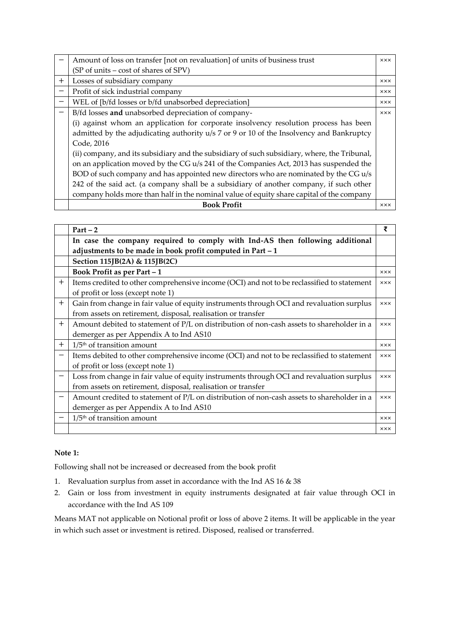|        | Amount of loss on transfer [not on revaluation] of units of business trust                   | <b>xxx</b> |
|--------|----------------------------------------------------------------------------------------------|------------|
|        | (SP of units – cost of shares of SPV)                                                        |            |
| $^{+}$ | Losses of subsidiary company                                                                 | <b>XXX</b> |
|        | Profit of sick industrial company                                                            | <b>XXX</b> |
|        | WEL of [b/fd losses or b/fd unabsorbed depreciation]                                         | <b>XXX</b> |
|        | B/fd losses and unabsorbed depreciation of company-                                          | <b>XXX</b> |
|        | (i) against whom an application for corporate insolvency resolution process has been         |            |
|        | admitted by the adjudicating authority u/s 7 or 9 or 10 of the Insolvency and Bankruptcy     |            |
|        | Code, 2016                                                                                   |            |
|        | (ii) company, and its subsidiary and the subsidiary of such subsidiary, where, the Tribunal, |            |
|        | on an application moved by the CG u/s 241 of the Companies Act, 2013 has suspended the       |            |
|        | BOD of such company and has appointed new directors who are nominated by the CG u/s          |            |
|        | 242 of the said act. (a company shall be a subsidiary of another company, if such other      |            |
|        | company holds more than half in the nominal value of equity share capital of the company     |            |
|        | <b>Book Profit</b>                                                                           | <b>XXX</b> |

|        | $Part - 2$                                                                                 | ₹          |
|--------|--------------------------------------------------------------------------------------------|------------|
|        | In case the company required to comply with Ind-AS then following additional               |            |
|        | adjustments to be made in book profit computed in Part - 1                                 |            |
|        | Section 115JB(2A) & 115JB(2C)                                                              |            |
|        | Book Profit as per Part - 1                                                                | <b>xxx</b> |
| $\pm$  | Items credited to other comprehensive income (OCI) and not to be reclassified to statement | <b>XXX</b> |
|        | of profit or loss (except note 1)                                                          |            |
| $^{+}$ | Gain from change in fair value of equity instruments through OCI and revaluation surplus   | <b>XXX</b> |
|        | from assets on retirement, disposal, realisation or transfer                               |            |
| $^{+}$ | Amount debited to statement of P/L on distribution of non-cash assets to shareholder in a  | <b>xxx</b> |
|        | demerger as per Appendix A to Ind AS10                                                     |            |
| $^{+}$ | $1/5$ <sup>th</sup> of transition amount                                                   | <b>XXX</b> |
|        | Items debited to other comprehensive income (OCI) and not to be reclassified to statement  | <b>xxx</b> |
|        | of profit or loss (except note 1)                                                          |            |
|        | Loss from change in fair value of equity instruments through OCI and revaluation surplus   | <b>xxx</b> |
|        | from assets on retirement, disposal, realisation or transfer                               |            |
|        | Amount credited to statement of P/L on distribution of non-cash assets to shareholder in a | <b>xxx</b> |
|        | demerger as per Appendix A to Ind AS10                                                     |            |
|        | $1/5th$ of transition amount                                                               | <b>xxx</b> |
|        |                                                                                            | <b>xxx</b> |

### **Note 1:**

Following shall not be increased or decreased from the book profit

- 1. Revaluation surplus from asset in accordance with the Ind AS 16 & 38
- 2. Gain or loss from investment in equity instruments designated at fair value through OCI in accordance with the Ind AS 109

Means MAT not applicable on Notional profit or loss of above 2 items. It will be applicable in the year in which such asset or investment is retired. Disposed, realised or transferred.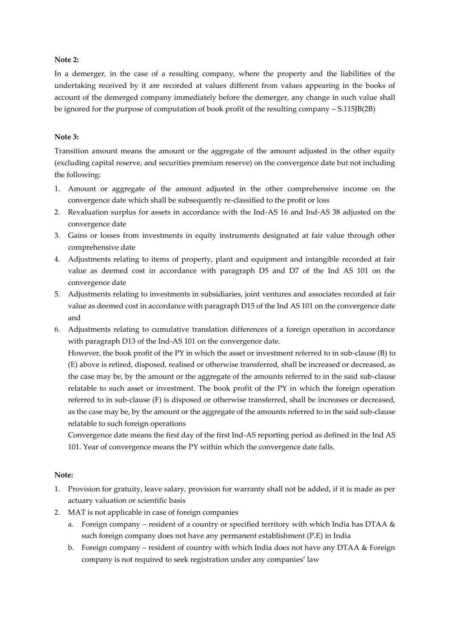### **Note 2:**

In a demerger, in the case of a resulting company, where the property and the liabilities of the undertaking received by it are recorded at values different from values appearing in the books of account of the demerged company immediately before the demerger, any change in such value shall be ignored for the purpose of computation of book profit of the resulting company – S.115JB(2B)

#### **Note 3:**

Transition amount means the amount or the aggregate of the amount adjusted in the other equity (excluding capital reserve, and securities premium reserve) on the convergence date but not including the following:

- 1. Amount or aggregate of the amount adjusted in the other comprehensive income on the convergence date which shall be subsequently re-classified to the profit or loss
- 2. Revaluation surplus for assets in accordance with the Ind-AS 16 and Ind-AS 38 adjusted on the convergence date
- 3. Gains or losses from investments in equity instruments designated at fair value through other comprehensive date
- 4. Adjustments relating to items of property, plant and equipment and intangible recorded at fair value as deemed cost in accordance with paragraph D5 and D7 of the Ind AS 101 on the convergence date
- 5. Adjustments relating to investments in subsidiaries, joint ventures and associates recorded at fair value as deemed cost in accordance with paragraph D15 of the Ind AS 101 on the convergence date and
- 6. Adjustments relating to cumulative translation differences of a foreign operation in accordance with paragraph D13 of the Ind-AS 101 on the convergence date.

However, the book profit of the PY in which the asset or investment referred to in sub-clause (B) to (E) above is retired, disposed, realised or otherwise transferred, shall be increased or decreased, as the case may be, by the amount or the aggregate of the amounts referred to in the said sub-clause relatable to such asset or investment. The book profit of the PY in which the foreign operation referred to in sub-clause (F) is disposed or otherwise transferred, shall be increases or decreased, as the case may be, by the amount or the aggregate of the amounts referred to in the said sub-clause relatable to such foreign operations

Convergence date means the first day of the first Ind-AS reporting period as defined in the Ind AS 101. Year of convergence means the PY within which the convergence date falls.

#### **Note:**

- 1. Provision for gratuity, leave salary, provision for warranty shall not be added, if it is made as per actuary valuation or scientific basis
- 2. MAT is not applicable in case of foreign companies
	- a. Foreign company resident of a country or specified territory with which India has DTAA & such foreign company does not have any permanent establishment (P.E) in India
	- b. Foreign company resident of country with which India does not have any DTAA & Foreign company is not required to seek registration under any companies' law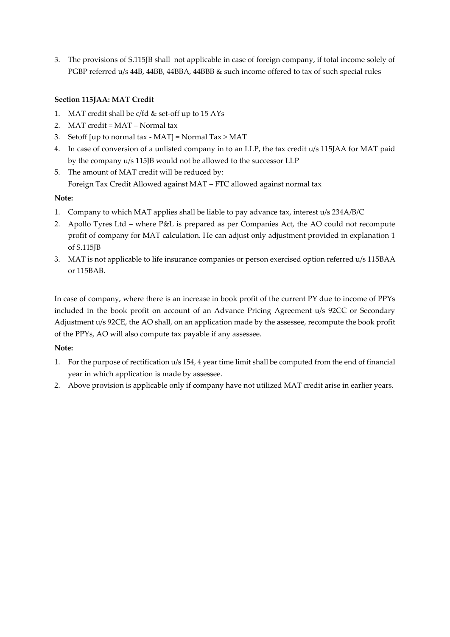3. The provisions of S.115JB shall not applicable in case of foreign company, if total income solely of PGBP referred u/s 44B, 44BB, 44BBA, 44BBB & such income offered to tax of such special rules

# **Section 115JAA: MAT Credit**

- 1. MAT credit shall be c/fd & set-off up to 15 AYs
- 2. MAT credit = MAT Normal tax
- 3. Setoff [up to normal tax MAT] = Normal Tax > MAT
- 4. In case of conversion of a unlisted company in to an LLP, the tax credit u/s 115JAA for MAT paid by the company u/s 115JB would not be allowed to the successor LLP
- 5. The amount of MAT credit will be reduced by: Foreign Tax Credit Allowed against MAT – FTC allowed against normal tax

### **Note:**

- 1. Company to which MAT applies shall be liable to pay advance tax, interest u/s 234A/B/C
- 2. Apollo Tyres Ltd where P&L is prepared as per Companies Act, the AO could not recompute profit of company for MAT calculation. He can adjust only adjustment provided in explanation 1 of S.115JB
- 3. MAT is not applicable to life insurance companies or person exercised option referred u/s 115BAA or 115BAB.

In case of company, where there is an increase in book profit of the current PY due to income of PPYs included in the book profit on account of an Advance Pricing Agreement u/s 92CC or Secondary Adjustment u/s 92CE, the AO shall, on an application made by the assessee, recompute the book profit of the PPYs, AO will also compute tax payable if any assessee.

### **Note:**

- 1. For the purpose of rectification u/s 154, 4 year time limit shall be computed from the end of financial year in which application is made by assessee.
- 2. Above provision is applicable only if company have not utilized MAT credit arise in earlier years.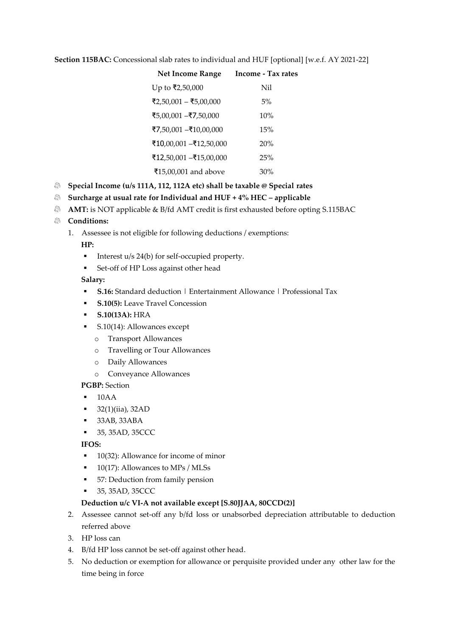**Section 115BAC:** Concessional slab rates to individual and HUF [optional] [w.e.f. AY 2021-22]

| <b>Net Income Range</b> | <b>Income - Tax rates</b> |
|-------------------------|---------------------------|
| Up to ₹2,50,000         | Nil                       |
| ₹2,50,001 - ₹5,00,000   | 5%                        |
| ₹5,00,001 –₹7,50,000    | 10%                       |
| ₹7,50,001 –₹10,00,000   | 15%                       |
| ₹10,00,001 –₹12,50,000  | 20%                       |
| ₹12,50,001 -₹15,00,000  | 25%                       |
| ₹15,00,001 and above    | 30%                       |
|                         |                           |

- **Special Income (u/s 111A, 112, 112A etc) shall be taxable @ Special rates**
- **Surcharge at usual rate for Individual and HUF + 4% HEC – applicable**
- **AMT:** is NOT applicable & B/fd AMT credit is first exhausted before opting S.115BAC

# **Conditions:**

1. Assessee is not eligible for following deductions / exemptions:

**HP:** 

- Interest u/s 24(b) for self-occupied property.
- Set-off of HP Loss against other head

### **Salary:**

- **S.16:** Standard deduction | Entertainment Allowance | Professional Tax
- **S.10(5):** Leave Travel Concession
- **S.10(13A):** HRA
- S.10(14): Allowances except
	- o Transport Allowances
	- o Travelling or Tour Allowances
	- o Daily Allowances
	- o Conveyance Allowances

# **PGBP:** Section

- $\blacksquare$  10AA
- $\bullet$  32(1)(iia), 32AD
- 33AB, 33ABA
- 35, 35AD, 35CCC

# **IFOS:**

- 10(32): Allowance for income of minor
- $\blacksquare$  10(17): Allowances to MPs / MLSs
- 57: Deduction from family pension
- 35, 35AD, 35CCC

### **Deduction u/c VI-A not available except [S.80JJAA, 80CCD(2)]**

- 2. Assessee cannot set-off any b/fd loss or unabsorbed depreciation attributable to deduction referred above
- 3. HP loss can
- 4. B/fd HP loss cannot be set-off against other head.
- 5. No deduction or exemption for allowance or perquisite provided under any other law for the time being in force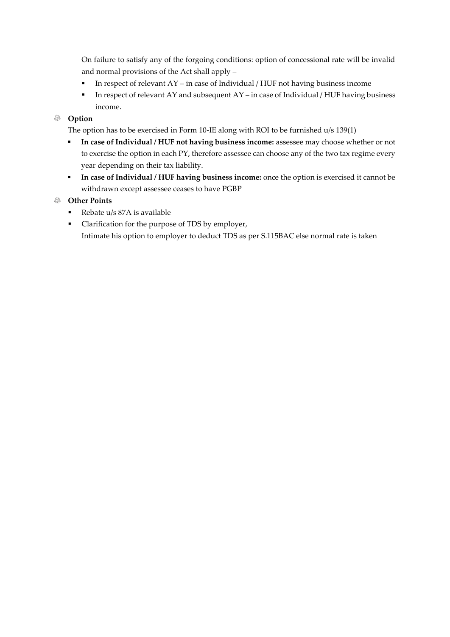On failure to satisfy any of the forgoing conditions: option of concessional rate will be invalid and normal provisions of the Act shall apply –

- In respect of relevant  $AY$  in case of Individual / HUF not having business income
- In respect of relevant AY and subsequent AY in case of Individual / HUF having business income.

# **Option**

The option has to be exercised in Form 10-IE along with ROI to be furnished u/s 139(1)

- **In case of Individual / HUF not having business income:** assessee may choose whether or not to exercise the option in each PY, therefore assessee can choose any of the two tax regime every year depending on their tax liability.
- **In case of Individual / HUF having business income:** once the option is exercised it cannot be withdrawn except assessee ceases to have PGBP

### **Other Points**

- Rebate u/s 87A is available
- Clarification for the purpose of TDS by employer, Intimate his option to employer to deduct TDS as per S.115BAC else normal rate is taken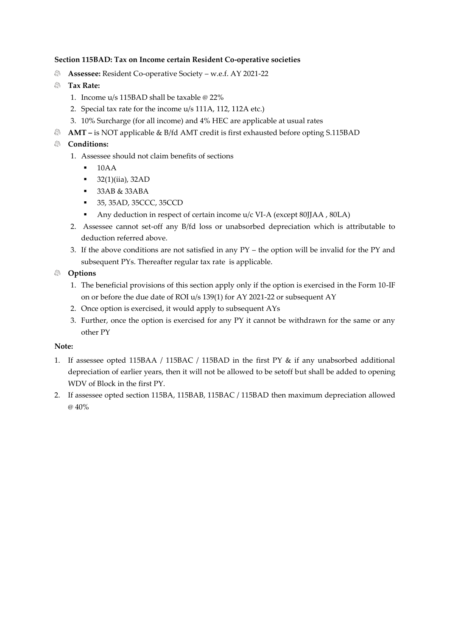# **Section 115BAD: Tax on Income certain Resident Co-operative societies**

- ⋒ **Assessee:** Resident Co-operative Society – w.e.f. AY 2021-22
- **Tax Rate:** 
	- 1. Income u/s 115BAD shall be taxable @ 22%
	- 2. Special tax rate for the income u/s 111A, 112, 112A etc.)
	- 3. 10% Surcharge (for all income) and 4% HEC are applicable at usual rates
- **AMT –** is NOT applicable & B/fd AMT credit is first exhausted before opting S.115BAD

# **Conditions:**

- 1. Assessee should not claim benefits of sections
	- $\blacksquare$  10AA
	- $\blacksquare$  32(1)(iia), 32AD
	- 33AB & 33ABA
	- 35, 35AD, 35CCC, 35CCD
	- Any deduction in respect of certain income  $u/c$  VI-A (except 80JJAA, 80LA)
- 2. Assessee cannot set-off any B/fd loss or unabsorbed depreciation which is attributable to deduction referred above.
- 3. If the above conditions are not satisfied in any PY the option will be invalid for the PY and subsequent PYs. Thereafter regular tax rate is applicable.

# **Options**

- 1. The beneficial provisions of this section apply only if the option is exercised in the Form 10-IF on or before the due date of ROI u/s 139(1) for AY 2021-22 or subsequent AY
- 2. Once option is exercised, it would apply to subsequent AYs
- 3. Further, once the option is exercised for any PY it cannot be withdrawn for the same or any other PY

# **Note:**

- 1. If assessee opted 115BAA / 115BAC / 115BAD in the first PY & if any unabsorbed additional depreciation of earlier years, then it will not be allowed to be setoff but shall be added to opening WDV of Block in the first PY.
- 2. If assessee opted section 115BA, 115BAB, 115BAC / 115BAD then maximum depreciation allowed @ 40%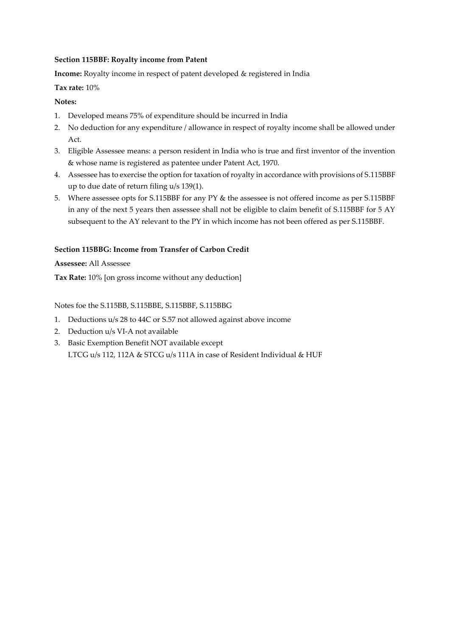### **Section 115BBF: Royalty income from Patent**

**Income:** Royalty income in respect of patent developed & registered in India

# **Tax rate:** 10%

# **Notes:**

- 1. Developed means 75% of expenditure should be incurred in India
- 2. No deduction for any expenditure / allowance in respect of royalty income shall be allowed under Act.
- 3. Eligible Assessee means: a person resident in India who is true and first inventor of the invention & whose name is registered as patentee under Patent Act, 1970.
- 4. Assessee has to exercise the option for taxation of royalty in accordance with provisions of S.115BBF up to due date of return filing u/s 139(1).
- 5. Where assessee opts for S.115BBF for any PY & the assessee is not offered income as per S.115BBF in any of the next 5 years then assessee shall not be eligible to claim benefit of S.115BBF for 5 AY subsequent to the AY relevant to the PY in which income has not been offered as per S.115BBF.

# **Section 115BBG: Income from Transfer of Carbon Credit**

### **Assessee:** All Assessee

**Tax Rate:** 10% [on gross income without any deduction]

# Notes foe the S.115BB, S.115BBE, S.115BBF, S.115BBG

- 1. Deductions u/s 28 to 44C or S.57 not allowed against above income
- 2. Deduction u/s VI-A not available
- 3. Basic Exemption Benefit NOT available except LTCG u/s 112, 112A & STCG u/s 111A in case of Resident Individual & HUF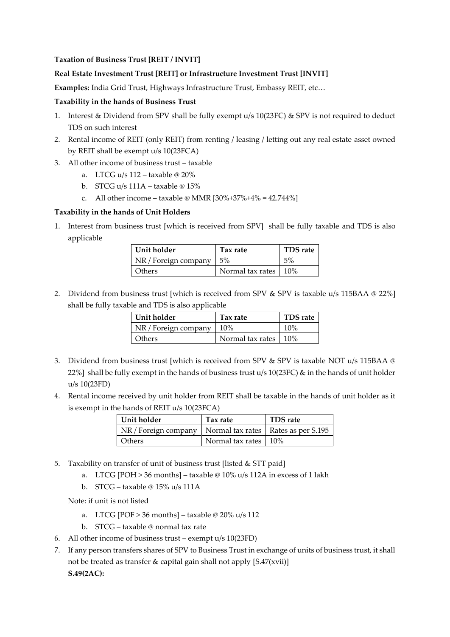#### **Taxation of Business Trust [REIT / INVIT]**

#### **Real Estate Investment Trust [REIT] or Infrastructure Investment Trust [INVIT]**

**Examples:** India Grid Trust, Highways Infrastructure Trust, Embassy REIT, etc…

#### **Taxability in the hands of Business Trust**

- 1. Interest & Dividend from SPV shall be fully exempt u/s 10(23FC) & SPV is not required to deduct TDS on such interest
- 2. Rental income of REIT (only REIT) from renting / leasing / letting out any real estate asset owned by REIT shall be exempt u/s 10(23FCA)
- 3. All other income of business trust taxable
	- a. LTCG u/s  $112 -$  taxable @  $20\%$
	- b. STCG u/s 111A taxable @ 15%
	- c. All other income taxable @ MMR  $[30\% + 37\% + 4\% = 42.744\%]$

#### **Taxability in the hands of Unit Holders**

1. Interest from business trust [which is received from SPV] shall be fully taxable and TDS is also applicable

| Unit holder          | Tax rate                             | TDS rate |
|----------------------|--------------------------------------|----------|
| NR / Foreign company | $1.5\%$                              | $.5\%$   |
| Others               | Normal tax rates $\frac{10\%}{10\%}$ |          |

2. Dividend from business trust [which is received from SPV & SPV is taxable u/s 115BAA @ 22%] shall be fully taxable and TDS is also applicable

| Unit holder          | Tax rate         | <b>TDS</b> rate |
|----------------------|------------------|-----------------|
| NR / Foreign company | $10\%$           | $10\%$          |
| <b>Others</b>        | Normal tax rates | $10\%$          |

- 3. Dividend from business trust [which is received from SPV & SPV is taxable NOT u/s 115BAA @ 22%] shall be fully exempt in the hands of business trust u/s 10(23FC) & in the hands of unit holder u/s 10(23FD)
- 4. Rental income received by unit holder from REIT shall be taxable in the hands of unit holder as it is exempt in the hands of REIT u/s 10(23FCA)

| Unit holder                                                  | Tax rate               | <b>TDS</b> rate |
|--------------------------------------------------------------|------------------------|-----------------|
| NR / Foreign company   Normal tax rates   Rates as per S.195 |                        |                 |
| <b>Others</b>                                                | Normal tax rates   10% |                 |

- 5. Taxability on transfer of unit of business trust [listed & STT paid]
	- a. LTCG [POH > 36 months] taxable @ 10% u/s 112A in excess of 1 lakh
	- b. STCG taxable @ 15% u/s 111A

Note: if unit is not listed

- a. LTCG [POF  $> 36$  months] taxable @ 20% u/s 112
- b. STCG taxable @ normal tax rate
- 6. All other income of business trust exempt u/s 10(23FD)
- 7. If any person transfers shares of SPV to Business Trust in exchange of units of business trust, it shall not be treated as transfer & capital gain shall not apply [S.47(xvii)] **S.49(2AC):**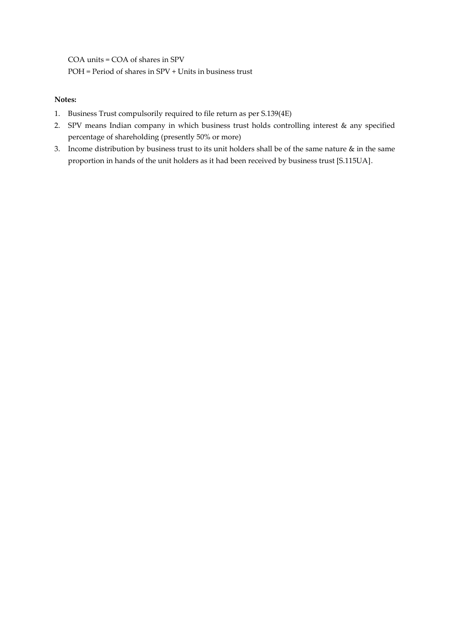COA units = COA of shares in SPV POH = Period of shares in SPV + Units in business trust

# **Notes:**

- 1. Business Trust compulsorily required to file return as per S.139(4E)
- 2. SPV means Indian company in which business trust holds controlling interest & any specified percentage of shareholding (presently 50% or more)
- 3. Income distribution by business trust to its unit holders shall be of the same nature & in the same proportion in hands of the unit holders as it had been received by business trust [S.115UA].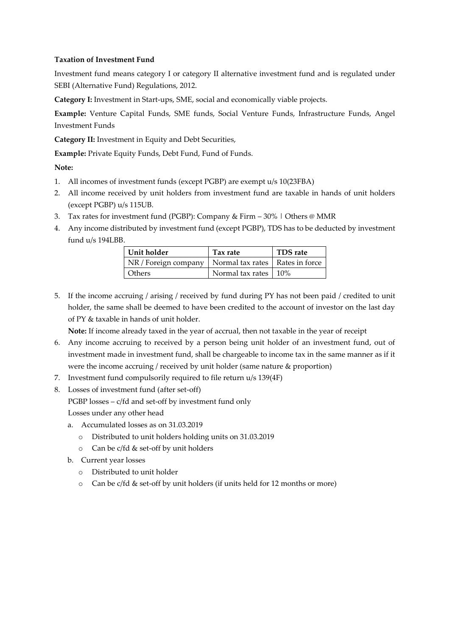### **Taxation of Investment Fund**

Investment fund means category I or category II alternative investment fund and is regulated under SEBI (Alternative Fund) Regulations, 2012.

**Category I:** Investment in Start-ups, SME, social and economically viable projects.

**Example:** Venture Capital Funds, SME funds, Social Venture Funds, Infrastructure Funds, Angel Investment Funds

**Category II:** Investment in Equity and Debt Securities,

**Example:** Private Equity Funds, Debt Fund, Fund of Funds.

**Note:**

- 1. All incomes of investment funds (except PGBP) are exempt u/s 10(23FBA)
- 2. All income received by unit holders from investment fund are taxable in hands of unit holders (except PGBP) u/s 115UB.
- 3. Tax rates for investment fund (PGBP): Company & Firm 30% | Others @ MMR
- 4. Any income distributed by investment fund (except PGBP), TDS has to be deducted by investment fund u/s 194LBB.

| Unit holder                                              | Tax rate               | <b>TDS</b> rate |
|----------------------------------------------------------|------------------------|-----------------|
| NR / Foreign company   Normal tax rates   Rates in force |                        |                 |
| <b>Others</b>                                            | Normal tax rates   10% |                 |

5. If the income accruing / arising / received by fund during PY has not been paid / credited to unit holder, the same shall be deemed to have been credited to the account of investor on the last day of PY & taxable in hands of unit holder.

**Note:** If income already taxed in the year of accrual, then not taxable in the year of receipt

- 6. Any income accruing to received by a person being unit holder of an investment fund, out of investment made in investment fund, shall be chargeable to income tax in the same manner as if it were the income accruing / received by unit holder (same nature & proportion)
- 7. Investment fund compulsorily required to file return u/s 139(4F)
- 8. Losses of investment fund (after set-off)

PGBP losses – c/fd and set-off by investment fund only

Losses under any other head

- a. Accumulated losses as on 31.03.2019
	- o Distributed to unit holders holding units on 31.03.2019
	- o Can be c/fd & set-off by unit holders
- b. Current year losses
	- o Distributed to unit holder
	- o Can be c/fd & set-off by unit holders (if units held for 12 months or more)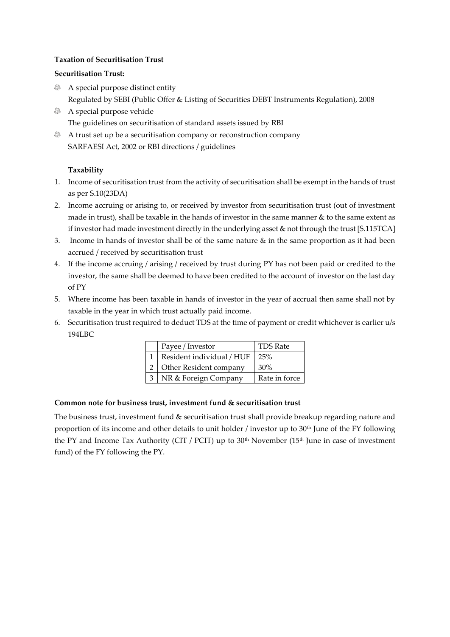# **Taxation of Securitisation Trust**

# **Securitisation Trust:**

- A special purpose distinct entity Regulated by SEBI (Public Offer & Listing of Securities DEBT Instruments Regulation), 2008
- A special purpose vehicle The guidelines on securitisation of standard assets issued by RBI
- A trust set up be a securitisation company or reconstruction company SARFAESI Act, 2002 or RBI directions / guidelines

# **Taxability**

- 1. Income of securitisation trust from the activity of securitisation shall be exempt in the hands of trust as per S.10(23DA)
- 2. Income accruing or arising to, or received by investor from securitisation trust (out of investment made in trust), shall be taxable in the hands of investor in the same manner & to the same extent as if investor had made investment directly in the underlying asset & not through the trust [S.115TCA]
- 3. Income in hands of investor shall be of the same nature  $\&$  in the same proportion as it had been accrued / received by securitisation trust
- 4. If the income accruing / arising / received by trust during PY has not been paid or credited to the investor, the same shall be deemed to have been credited to the account of investor on the last day of PY
- 5. Where income has been taxable in hands of investor in the year of accrual then same shall not by taxable in the year in which trust actually paid income.
- 6. Securitisation trust required to deduct TDS at the time of payment or credit whichever is earlier u/s 194LBC

| Payee / Investor          | TDS Rate      |
|---------------------------|---------------|
| Resident individual / HUF | 25%           |
| Other Resident company    | 30%           |
| NR & Foreign Company      | Rate in force |

# **Common note for business trust, investment fund & securitisation trust**

The business trust, investment fund & securitisation trust shall provide breakup regarding nature and proportion of its income and other details to unit holder / investor up to  $30<sup>th</sup>$  June of the FY following the PY and Income Tax Authority (CIT / PCIT) up to  $30<sup>th</sup>$  November (15<sup>th</sup> June in case of investment fund) of the FY following the PY.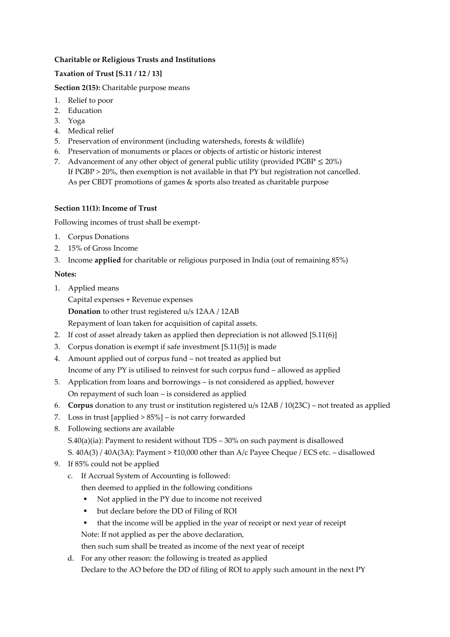# **Charitable or Religious Trusts and Institutions**

# **Taxation of Trust [S.11 / 12 / 13]**

**Section 2(15):** Charitable purpose means

- 1. Relief to poor
- 2. Education
- 3. Yoga
- 4. Medical relief
- 5. Preservation of environment (including watersheds, forests & wildlife)
- 6. Preservation of monuments or places or objects of artistic or historic interest
- 7. Advancement of any other object of general public utility (provided PGBP  $\leq$  20%) If PGBP > 20%, then exemption is not available in that PY but registration not cancelled. As per CBDT promotions of games & sports also treated as charitable purpose

# **Section 11(1): Income of Trust**

Following incomes of trust shall be exempt-

- 1. Corpus Donations
- 2. 15% of Gross Income
- 3. Income **applied** for charitable or religious purposed in India (out of remaining 85%)

# **Notes:**

1. Applied means

Capital expenses + Revenue expenses

**Donation** to other trust registered u/s 12AA / 12AB

Repayment of loan taken for acquisition of capital assets.

- 2. If cost of asset already taken as applied then depreciation is not allowed [S.11(6)]
- 3. Corpus donation is exempt if safe investment [S.11(5)] is made
- 4. Amount applied out of corpus fund not treated as applied but Income of any PY is utilised to reinvest for such corpus fund – allowed as applied
- 5. Application from loans and borrowings is not considered as applied, however On repayment of such loan – is considered as applied
- 6. **Corpus** donation to any trust or institution registered u/s 12AB / 10(23C) not treated as applied
- 7. Loss in trust [applied > 85%] is not carry forwarded
- 8. Following sections are available S.40(a)(ia): Payment to resident without TDS – 30% on such payment is disallowed S. 40A(3) / 40A(3A): Payment > ₹10,000 other than A/c Payee Cheque / ECS etc. – disallowed
- 9. If 85% could not be applied
	- c. If Accrual System of Accounting is followed:

then deemed to applied in the following conditions

- Not applied in the PY due to income not received
- but declare before the DD of Filing of ROI
- that the income will be applied in the year of receipt or next year of receipt Note: If not applied as per the above declaration,

then such sum shall be treated as income of the next year of receipt

d. For any other reason: the following is treated as applied Declare to the AO before the DD of filing of ROI to apply such amount in the next PY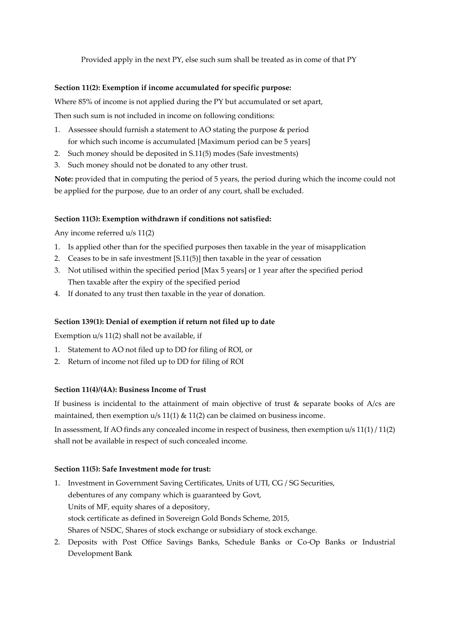Provided apply in the next PY, else such sum shall be treated as in come of that PY

#### **Section 11(2): Exemption if income accumulated for specific purpose:**

Where 85% of income is not applied during the PY but accumulated or set apart,

Then such sum is not included in income on following conditions:

- 1. Assessee should furnish a statement to AO stating the purpose & period for which such income is accumulated [Maximum period can be 5 years]
- 2. Such money should be deposited in S.11(5) modes (Safe investments)
- 3. Such money should not be donated to any other trust.

**Note:** provided that in computing the period of 5 years, the period during which the income could not be applied for the purpose, due to an order of any court, shall be excluded.

#### **Section 11(3): Exemption withdrawn if conditions not satisfied:**

Any income referred u/s 11(2)

- 1. Is applied other than for the specified purposes then taxable in the year of misapplication
- 2. Ceases to be in safe investment [S.11(5)] then taxable in the year of cessation
- 3. Not utilised within the specified period [Max 5 years] or 1 year after the specified period Then taxable after the expiry of the specified period
- 4. If donated to any trust then taxable in the year of donation.

#### **Section 139(1): Denial of exemption if return not filed up to date**

Exemption u/s 11(2) shall not be available, if

- 1. Statement to AO not filed up to DD for filing of ROI, or
- 2. Return of income not filed up to DD for filing of ROI

### **Section 11(4)/(4A): Business Income of Trust**

If business is incidental to the attainment of main objective of trust  $\&$  separate books of A/cs are maintained, then exemption  $u/s$  11(1) & 11(2) can be claimed on business income.

In assessment, If AO finds any concealed income in respect of business, then exemption u/s 11(1) / 11(2) shall not be available in respect of such concealed income.

#### **Section 11(5): Safe Investment mode for trust:**

- 1. Investment in Government Saving Certificates, Units of UTI, CG / SG Securities, debentures of any company which is guaranteed by Govt, Units of MF, equity shares of a depository, stock certificate as defined in Sovereign Gold Bonds Scheme, 2015, Shares of NSDC, Shares of stock exchange or subsidiary of stock exchange.
- 2. Deposits with Post Office Savings Banks, Schedule Banks or Co-Op Banks or Industrial Development Bank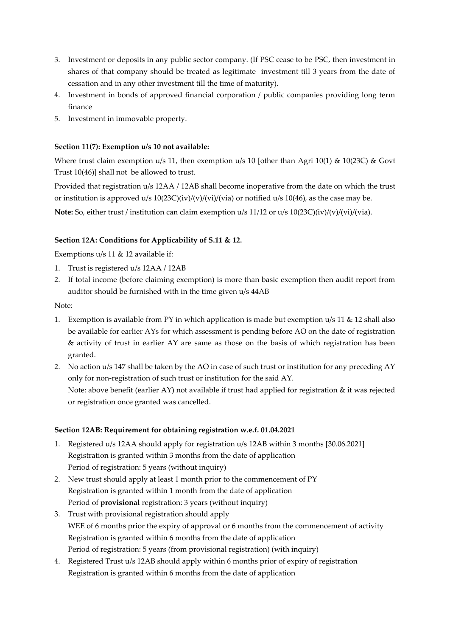- 3. Investment or deposits in any public sector company. (If PSC cease to be PSC, then investment in shares of that company should be treated as legitimate investment till 3 years from the date of cessation and in any other investment till the time of maturity).
- 4. Investment in bonds of approved financial corporation / public companies providing long term finance
- 5. Investment in immovable property.

# **Section 11(7): Exemption u/s 10 not available:**

Where trust claim exemption u/s 11, then exemption u/s 10 [other than Agri 10(1) & 10(23C) & Govt Trust 10(46)] shall not be allowed to trust.

Provided that registration u/s 12AA / 12AB shall become inoperative from the date on which the trust or institution is approved u/s  $10(23C)(iv)/(v)/(vi)/(via)$  or notified u/s  $10(46)$ , as the case may be. **Note:** So, either trust / institution can claim exemption u/s 11/12 or u/s 10(23C)(iv)/(v)/(vi)/(via).

# **Section 12A: Conditions for Applicability of S.11 & 12.**

Exemptions u/s 11 & 12 available if:

- 1. Trust is registered u/s 12AA / 12AB
- 2. If total income (before claiming exemption) is more than basic exemption then audit report from auditor should be furnished with in the time given u/s 44AB

Note:

- 1. Exemption is available from PY in which application is made but exemption u/s 11 & 12 shall also be available for earlier AYs for which assessment is pending before AO on the date of registration & activity of trust in earlier AY are same as those on the basis of which registration has been granted.
- 2. No action u/s 147 shall be taken by the AO in case of such trust or institution for any preceding AY only for non-registration of such trust or institution for the said AY. Note: above benefit (earlier AY) not available if trust had applied for registration & it was rejected or registration once granted was cancelled.

### **Section 12AB: Requirement for obtaining registration w.e.f. 01.04.2021**

- 1. Registered u/s 12AA should apply for registration u/s 12AB within 3 months [30.06.2021] Registration is granted within 3 months from the date of application Period of registration: 5 years (without inquiry)
- 2. New trust should apply at least 1 month prior to the commencement of PY Registration is granted within 1 month from the date of application Period of **provisional** registration: 3 years (without inquiry)
- 3. Trust with provisional registration should apply WEE of 6 months prior the expiry of approval or 6 months from the commencement of activity Registration is granted within 6 months from the date of application Period of registration: 5 years (from provisional registration) (with inquiry)
- 4. Registered Trust u/s 12AB should apply within 6 months prior of expiry of registration Registration is granted within 6 months from the date of application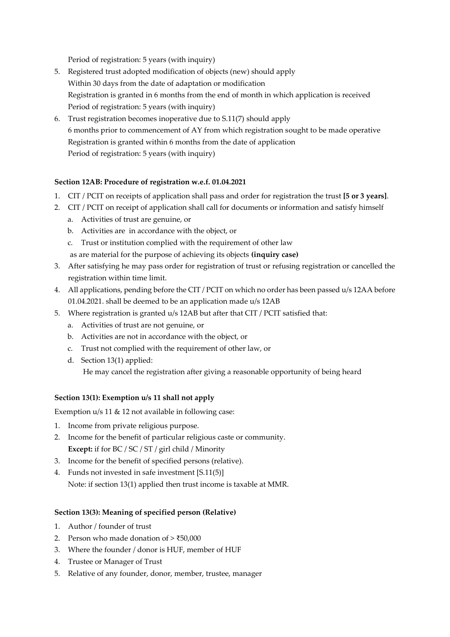Period of registration: 5 years (with inquiry)

- 5. Registered trust adopted modification of objects (new) should apply Within 30 days from the date of adaptation or modification Registration is granted in 6 months from the end of month in which application is received Period of registration: 5 years (with inquiry)
- 6. Trust registration becomes inoperative due to S.11(7) should apply 6 months prior to commencement of AY from which registration sought to be made operative Registration is granted within 6 months from the date of application Period of registration: 5 years (with inquiry)

# **Section 12AB: Procedure of registration w.e.f. 01.04.2021**

- 1. CIT / PCIT on receipts of application shall pass and order for registration the trust **[5 or 3 years]**.
- 2. CIT / PCIT on receipt of application shall call for documents or information and satisfy himself
	- a. Activities of trust are genuine, or
	- b. Activities are in accordance with the object, or
	- c. Trust or institution complied with the requirement of other law

as are material for the purpose of achieving its objects **(inquiry case)**

- 3. After satisfying he may pass order for registration of trust or refusing registration or cancelled the registration within time limit.
- 4. All applications, pending before the CIT / PCIT on which no order has been passed u/s 12AA before 01.04.2021. shall be deemed to be an application made u/s 12AB
- 5. Where registration is granted u/s 12AB but after that CIT / PCIT satisfied that:
	- a. Activities of trust are not genuine, or
	- b. Activities are not in accordance with the object, or
	- c. Trust not complied with the requirement of other law, or
	- d. Section 13(1) applied: He may cancel the registration after giving a reasonable opportunity of being heard

### **Section 13(1): Exemption u/s 11 shall not apply**

Exemption  $u/s$  11 & 12 not available in following case:

- 1. Income from private religious purpose.
- 2. Income for the benefit of particular religious caste or community. **Except:** if for BC / SC / ST / girl child / Minority
- 3. Income for the benefit of specified persons (relative).
- 4. Funds not invested in safe investment [S.11(5)] Note: if section 13(1) applied then trust income is taxable at MMR.

### **Section 13(3): Meaning of specified person (Relative)**

- 1. Author / founder of trust
- 2. Person who made donation of  $>$  ₹50,000
- 3. Where the founder / donor is HUF, member of HUF
- 4. Trustee or Manager of Trust
- 5. Relative of any founder, donor, member, trustee, manager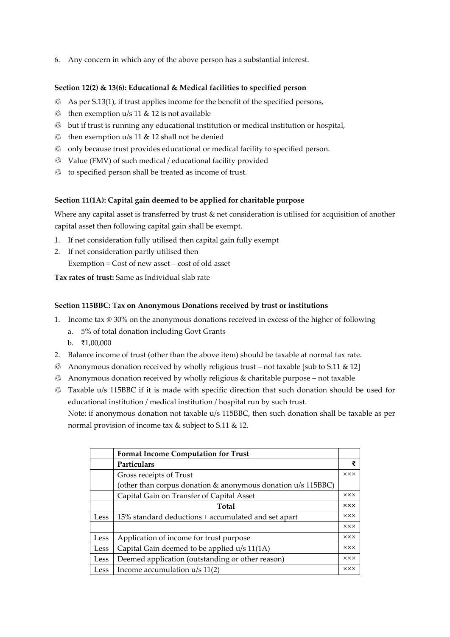6. Any concern in which any of the above person has a substantial interest.

# **Section 12(2) & 13(6): Educational & Medical facilities to specified person**

- $\otimes$  As per S.13(1), if trust applies income for the benefit of the specified persons,
- then exemption  $u/s$  11 & 12 is not available
- $\otimes$  but if trust is running any educational institution or medical institution or hospital,
- then exemption  $u/s$  11 & 12 shall not be denied
- **b** only because trust provides educational or medical facility to specified person.
- Value (FMV) of such medical / educational facility provided
- to specified person shall be treated as income of trust.

### **Section 11(1A): Capital gain deemed to be applied for charitable purpose**

Where any capital asset is transferred by trust & net consideration is utilised for acquisition of another capital asset then following capital gain shall be exempt.

- 1. If net consideration fully utilised then capital gain fully exempt
- 2. If net consideration partly utilised then Exemption = Cost of new asset – cost of old asset

**Tax rates of trust:** Same as Individual slab rate

### **Section 115BBC: Tax on Anonymous Donations received by trust or institutions**

- 1. Income tax @ 30% on the anonymous donations received in excess of the higher of following
	- a. 5% of total donation including Govt Grants
	- b. ₹1,00,000
- 2. Balance income of trust (other than the above item) should be taxable at normal tax rate.
- **Anonymous donation received by wholly religious trust not taxable [sub to S.11 & 12]**
- Anonymous donation received by wholly religious & charitable purpose not taxable
- **B** Taxable u/s 115BBC if it is made with specific direction that such donation should be used for educational institution / medical institution / hospital run by such trust.

Note: if anonymous donation not taxable u/s 115BBC, then such donation shall be taxable as per normal provision of income tax & subject to S.11 & 12.

|      | <b>Format Income Computation for Trust</b>                        |            |
|------|-------------------------------------------------------------------|------------|
|      | Particulars                                                       | ₹          |
|      | Gross receipts of Trust                                           | <b>XXX</b> |
|      | (other than corpus donation $\&$ anonymous donation $u/s$ 115BBC) |            |
|      | Capital Gain on Transfer of Capital Asset                         | <b>XXX</b> |
|      | <b>Total</b>                                                      | <b>XXX</b> |
| Less | 15% standard deductions + accumulated and set apart               | <b>XXX</b> |
|      |                                                                   | <b>XXX</b> |
| Less | Application of income for trust purpose                           | <b>XXX</b> |
| Less | Capital Gain deemed to be applied u/s 11(1A)                      | <b>XXX</b> |
| Less | Deemed application (outstanding or other reason)                  | <b>XXX</b> |
| Less | Income accumulation $u/s$ 11(2)                                   | <b>XXX</b> |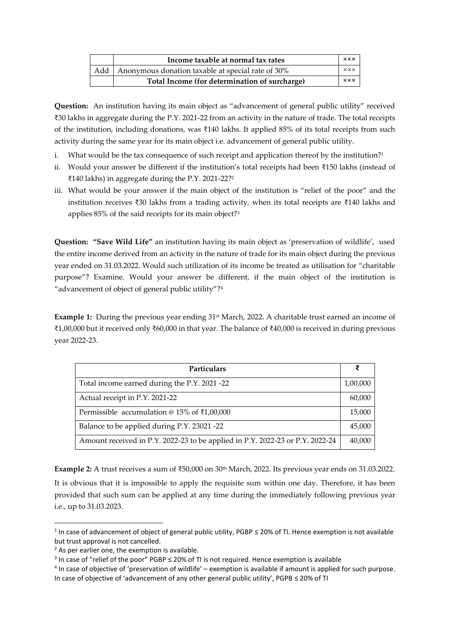|     | Income taxable at normal tax rates                | <b>XXX</b>           |
|-----|---------------------------------------------------|----------------------|
| Add | Anonymous donation taxable at special rate of 30% | $\times\times\times$ |
|     | Total Income (for determination of surcharge)     | xxx                  |

**Question:** An institution having its main object as "advancement of general public utility" received ₹30 lakhs in aggregate during the P.Y. 2021-22 from an activity in the nature of trade. The total receipts of the institution, including donations, was ₹140 lakhs. It applied 85% of its total receipts from such activity during the same year for its main object i.e. advancement of general public utility.

- i. What would be the tax consequence of such receipt and application thereof by the institution?<sup>1</sup>
- ii. Would your answer be different if the institution's total receipts had been ₹150 lakhs (instead of ₹140 lakhs) in aggregate during the P.Y. 2021-22?<sup>2</sup>
- iii. What would be your answer if the main object of the institution is "relief of the poor" and the institution receives ₹30 lakhs from a trading activity, when its total receipts are ₹140 lakhs and applies 85% of the said receipts for its main object?<sup>3</sup>

**Question: "Save Wild Life"** an institution having its main object as 'preservation of wildlife', used the entire income derived from an activity in the nature of trade for its main object during the previous year ended on 31.03.2022. Would such utilization of its income be treated as utilisation for "charitable purpose"? Examine. Would your answer be different, if the main object of the institution is "advancement of object of general public utility"?<sup>4</sup>

**Example 1:** During the previous year ending 31st March, 2022. A charitable trust earned an income of ₹1,00,000 but it received only ₹60,000 in that year. The balance of ₹40,000 is received in during previous year 2022-23.

| Particulars                                                                   | ₹        |
|-------------------------------------------------------------------------------|----------|
| Total income earned during the P.Y. 2021 -22                                  | 1,00,000 |
| Actual receipt in P.Y. 2021-22                                                | 60,000   |
| Permissible accumulation @ 15% of $\bar{\tau}1,00,000$                        | 15,000   |
| Balance to be applied during P.Y. 23021 -22                                   | 45,000   |
| Amount received in P.Y. 2022-23 to be applied in P.Y. 2022-23 or P.Y. 2022-24 | 40,000   |

Example 2: A trust receives a sum of ₹50,000 on 30<sup>th</sup> March, 2022. Its previous year ends on 31.03.2022. It is obvious that it is impossible to apply the requisite sum within one day. Therefore, it has been provided that such sum can be applied at any time during the immediately following previous year i.e., up to 31.03.2023.

<sup>&</sup>lt;sup>1</sup> In case of advancement of object of general public utility, PGBP  $\leq$  20% of TI. Hence exemption is not available but trust approval is not cancelled.

 $2$  As per earlier one, the exemption is available.

 $3$  In case of "relief of the poor" PGBP  $\leq$  20% of TI is not required. Hence exemption is available

<sup>&</sup>lt;sup>4</sup> In case of objective of 'preservation of wildlife' – exemption is available if amount is applied for such purpose. In case of objective of 'advancement of any other general public utility', PGPB ≤ 20% of TI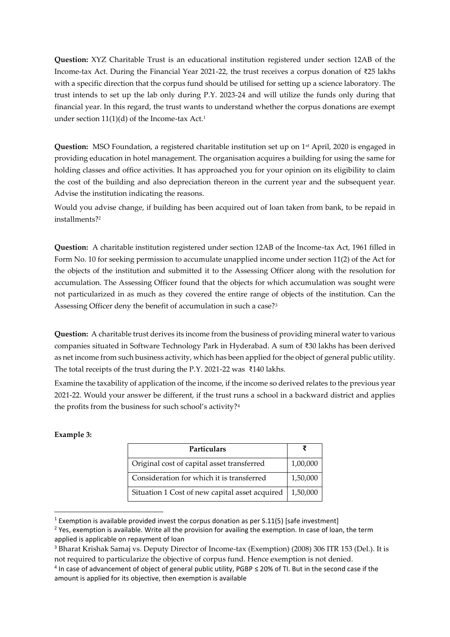**Question:** XYZ Charitable Trust is an educational institution registered under section 12AB of the Income-tax Act. During the Financial Year 2021-22, the trust receives a corpus donation of ₹25 lakhs with a specific direction that the corpus fund should be utilised for setting up a science laboratory. The trust intends to set up the lab only during P.Y. 2023-24 and will utilize the funds only during that financial year. In this regard, the trust wants to understand whether the corpus donations are exempt under section  $11(1)(d)$  of the Income-tax Act.<sup>1</sup>

Question: MSO Foundation, a registered charitable institution set up on 1<sup>st</sup> April, 2020 is engaged in providing education in hotel management. The organisation acquires a building for using the same for holding classes and office activities. It has approached you for your opinion on its eligibility to claim the cost of the building and also depreciation thereon in the current year and the subsequent year. Advise the institution indicating the reasons.

Would you advise change, if building has been acquired out of loan taken from bank, to be repaid in installments?<sup>2</sup>

**Question:** A charitable institution registered under section 12AB of the Income-tax Act, 1961 filled in Form No. 10 for seeking permission to accumulate unapplied income under section 11(2) of the Act for the objects of the institution and submitted it to the Assessing Officer along with the resolution for accumulation. The Assessing Officer found that the objects for which accumulation was sought were not particularized in as much as they covered the entire range of objects of the institution. Can the Assessing Officer deny the benefit of accumulation in such a case?<sup>3</sup>

**Question:** A charitable trust derives its income from the business of providing mineral water to various companies situated in Software Technology Park in Hyderabad. A sum of ₹30 lakhs has been derived as net income from such business activity, which has been applied for the object of general public utility. The total receipts of the trust during the P.Y. 2021-22 was ₹140 lakhs.

Examine the taxability of application of the income, if the income so derived relates to the previous year 2021-22. Would your answer be different, if the trust runs a school in a backward district and applies the profits from the business for such school's activity?<sup>4</sup>

#### **Example 3:**

| <b>Particulars</b>                             |          |
|------------------------------------------------|----------|
| Original cost of capital asset transferred     | 1,00,000 |
| Consideration for which it is transferred      | 1,50,000 |
| Situation 1 Cost of new capital asset acquired | 1,50,000 |

<sup>&</sup>lt;sup>1</sup> Exemption is available provided invest the corpus donation as per S.11(5) [safe investment]

<sup>&</sup>lt;sup>2</sup> Yes, exemption is available. Write all the provision for availing the exemption. In case of loan, the term applied is applicable on repayment of loan

<sup>3</sup> Bharat Krishak Samaj vs. Deputy Director of Income-tax (Exemption) (2008) 306 ITR 153 (Del.). It is not required to particularize the objective of corpus fund. Hence exemption is not denied.

<sup>4</sup> In case of advancement of object of general public utility, PGBP ≤ 20% of TI. But in the second case if the amount is applied for its objective, then exemption is available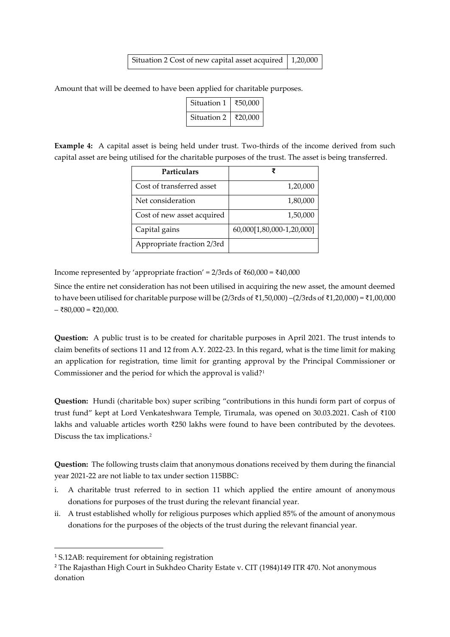| Situation 2 Cost of new capital asset acquired $\vert$ 1,20,000 |  |
|-----------------------------------------------------------------|--|
|-----------------------------------------------------------------|--|

Amount that will be deemed to have been applied for charitable purposes.

| Situation 1 | ₹50,000 |
|-------------|---------|
| Situation 2 | ₹20,000 |

**Example 4:** A capital asset is being held under trust. Two-thirds of the income derived from such capital asset are being utilised for the charitable purposes of the trust. The asset is being transferred.

| <b>Particulars</b>         | ₹                         |
|----------------------------|---------------------------|
| Cost of transferred asset  | 1,20,000                  |
| Net consideration          | 1,80,000                  |
| Cost of new asset acquired | 1,50,000                  |
| Capital gains              | 60,000[1,80,000-1,20,000] |
| Appropriate fraction 2/3rd |                           |

Income represented by 'appropriate fraction' = 2/3rds of ₹60,000 = ₹40,000

Since the entire net consideration has not been utilised in acquiring the new asset, the amount deemed to have been utilised for charitable purpose will be (2/3rds of ₹1,50,000) –(2/3rds of ₹1,20,000) = ₹1,00,000 – ₹80,000 = ₹20,000.

**Question:** A public trust is to be created for charitable purposes in April 2021. The trust intends to claim benefits of sections 11 and 12 from A.Y. 2022-23. In this regard, what is the time limit for making an application for registration, time limit for granting approval by the Principal Commissioner or Commissioner and the period for which the approval is valid?<sup>1</sup>

**Question:** Hundi (charitable box) super scribing "contributions in this hundi form part of corpus of trust fund" kept at Lord Venkateshwara Temple, Tirumala, was opened on 30.03.2021. Cash of ₹100 lakhs and valuable articles worth ₹250 lakhs were found to have been contributed by the devotees. Discuss the tax implications.<sup>2</sup>

**Question:** The following trusts claim that anonymous donations received by them during the financial year 2021-22 are not liable to tax under section 115BBC:

- i. A charitable trust referred to in section 11 which applied the entire amount of anonymous donations for purposes of the trust during the relevant financial year.
- ii. A trust established wholly for religious purposes which applied 85% of the amount of anonymous donations for the purposes of the objects of the trust during the relevant financial year.

<sup>1</sup> S.12AB: requirement for obtaining registration

<sup>&</sup>lt;sup>2</sup> The Rajasthan High Court in Sukhdeo Charity Estate v. CIT (1984)149 ITR 470. Not anonymous donation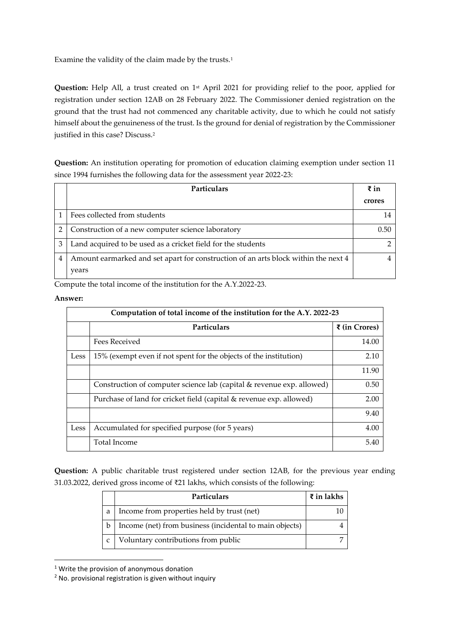Examine the validity of the claim made by the trusts.<sup>1</sup>

**Question:** Help All, a trust created on 1<sup>st</sup> April 2021 for providing relief to the poor, applied for registration under section 12AB on 28 February 2022. The Commissioner denied registration on the ground that the trust had not commenced any charitable activity, due to which he could not satisfy himself about the genuineness of the trust. Is the ground for denial of registration by the Commissioner justified in this case? Discuss.<sup>2</sup>

**Question:** An institution operating for promotion of education claiming exemption under section 11 since 1994 furnishes the following data for the assessment year 2022-23:

|   | <b>Particulars</b>                                                                 | $\bar{x}$ in |
|---|------------------------------------------------------------------------------------|--------------|
|   |                                                                                    | crores       |
|   | Fees collected from students                                                       |              |
|   | Construction of a new computer science laboratory                                  | 0.50         |
| 3 | Land acquired to be used as a cricket field for the students                       |              |
| 4 | Amount earmarked and set apart for construction of an arts block within the next 4 |              |
|   | years                                                                              |              |

Compute the total income of the institution for the A.Y.2022-23.

#### **Answer:**

|      | Computation of total income of the institution for the A.Y. 2022-23   |               |  |
|------|-----------------------------------------------------------------------|---------------|--|
|      | Particulars                                                           | ₹ (in Crores) |  |
|      | Fees Received                                                         | 14.00         |  |
| Less | 15% (exempt even if not spent for the objects of the institution)     | 2.10          |  |
|      |                                                                       | 11.90         |  |
|      | Construction of computer science lab (capital & revenue exp. allowed) | 0.50          |  |
|      | Purchase of land for cricket field (capital & revenue exp. allowed)   | 2.00          |  |
|      |                                                                       | 9.40          |  |
| Less | Accumulated for specified purpose (for 5 years)                       | 4.00          |  |
|      | Total Income                                                          | 5.40          |  |

**Question:** A public charitable trust registered under section 12AB, for the previous year ending 31.03.2022, derived gross income of ₹21 lakhs, which consists of the following:

|   | <b>Particulars</b>                                      | $\bar{x}$ in lakhs |
|---|---------------------------------------------------------|--------------------|
| a | Income from properties held by trust (net)              |                    |
|   | Income (net) from business (incidental to main objects) |                    |
|   | Voluntary contributions from public                     |                    |

<sup>&</sup>lt;sup>1</sup> Write the provision of anonymous donation

<sup>2</sup> No. provisional registration is given without inquiry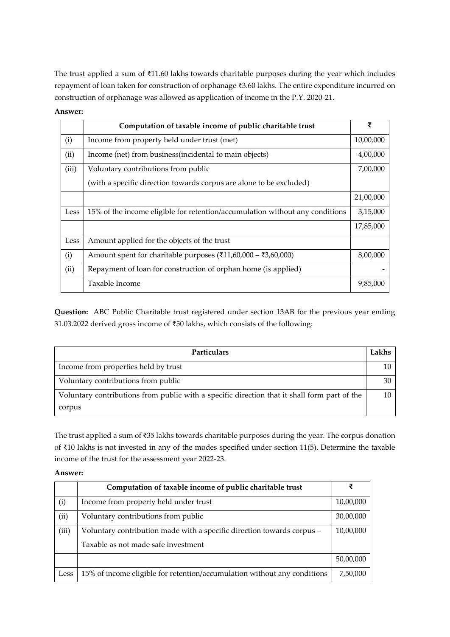The trust applied a sum of ₹11.60 lakhs towards charitable purposes during the year which includes repayment of loan taken for construction of orphanage ₹3.60 lakhs. The entire expenditure incurred on construction of orphanage was allowed as application of income in the P.Y. 2020-21.

#### **Answer:**

|       | Computation of taxable income of public charitable trust                                       | ₹         |
|-------|------------------------------------------------------------------------------------------------|-----------|
| (i)   | Income from property held under trust (met)                                                    | 10,00,000 |
| (ii)  | Income (net) from business (incidental to main objects)                                        | 4,00,000  |
| (iii) | Voluntary contributions from public                                                            | 7,00,000  |
|       | (with a specific direction towards corpus are alone to be excluded)                            |           |
|       |                                                                                                | 21,00,000 |
| Less  | 15% of the income eligible for retention/accumulation without any conditions                   | 3,15,000  |
|       |                                                                                                | 17,85,000 |
| Less  | Amount applied for the objects of the trust                                                    |           |
| (i)   | Amount spent for charitable purposes ( $\overline{\xi}$ 11,60,000 – $\overline{\xi}$ 3,60,000) | 8,00,000  |
| (ii)  | Repayment of loan for construction of orphan home (is applied)                                 |           |
|       | Taxable Income                                                                                 | 9,85,000  |

**Question:** ABC Public Charitable trust registered under section 13AB for the previous year ending 31.03.2022 derived gross income of ₹50 lakhs, which consists of the following:

| <b>Particulars</b>                                                                           | Lakhs |
|----------------------------------------------------------------------------------------------|-------|
| Income from properties held by trust                                                         |       |
| Voluntary contributions from public                                                          |       |
| Voluntary contributions from public with a specific direction that it shall form part of the |       |
| corpus                                                                                       |       |

The trust applied a sum of ₹35 lakhs towards charitable purposes during the year. The corpus donation of ₹10 lakhs is not invested in any of the modes specified under section 11(5). Determine the taxable income of the trust for the assessment year 2022-23.

**Answer:** 

|       | Computation of taxable income of public charitable trust                 | ₹         |
|-------|--------------------------------------------------------------------------|-----------|
| (i)   | Income from property held under trust                                    | 10,00,000 |
| (ii)  | Voluntary contributions from public                                      | 30,00,000 |
| (iii) | Voluntary contribution made with a specific direction towards corpus -   | 10,00,000 |
|       | Taxable as not made safe investment                                      |           |
|       |                                                                          | 50,00,000 |
| Less  | 15% of income eligible for retention/accumulation without any conditions | 7,50,000  |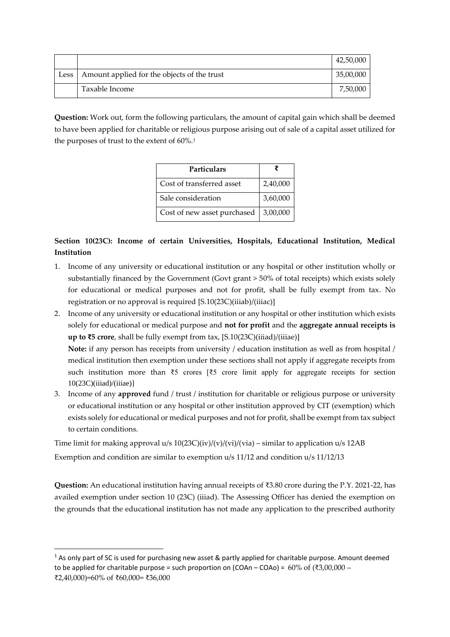|      |                                             | 42,50,000 |
|------|---------------------------------------------|-----------|
| Less | Amount applied for the objects of the trust | 35,00,000 |
|      | Taxable Income                              | 7,50,000  |

**Question:** Work out, form the following particulars, the amount of capital gain which shall be deemed to have been applied for charitable or religious purpose arising out of sale of a capital asset utilized for the purposes of trust to the extent of  $60\%$ .<sup>1</sup>

| Particulars                 |          |
|-----------------------------|----------|
| Cost of transferred asset   | 2,40,000 |
| Sale consideration          | 3,60,000 |
| Cost of new asset purchased | 3,00,000 |

# **Section 10(23C): Income of certain Universities, Hospitals, Educational Institution, Medical Institution**

- 1. Income of any university or educational institution or any hospital or other institution wholly or substantially financed by the Government (Govt grant > 50% of total receipts) which exists solely for educational or medical purposes and not for profit, shall be fully exempt from tax. No registration or no approval is required [S.10(23C)(iiiab)/(iiiac)]
- 2. Income of any university or educational institution or any hospital or other institution which exists solely for educational or medical purpose and **not for profit** and the **aggregate annual receipts is up to ₹5 crore**, shall be fully exempt from tax, [S.10(23C)(iiiad)/(iiiae)] **Note:** if any person has receipts from university / education institution as well as from hospital / medical institution then exemption under these sections shall not apply if aggregate receipts from

such institution more than ₹5 crores [₹5 crore limit apply for aggregate receipts for section  $10(23C)(iiiad)/(iiiae)$ ]

3. Income of any **approved** fund / trust / institution for charitable or religious purpose or university or educational institution or any hospital or other institution approved by CIT (exemption) which exists solely for educational or medical purposes and not for profit, shall be exempt from tax subject to certain conditions.

Time limit for making approval  $u/s 10(23C)(iv)/(v)/(vi)/(via)$  – similar to application  $u/s 12AB$ Exemption and condition are similar to exemption u/s 11/12 and condition u/s 11/12/13

**Question:** An educational institution having annual receipts of ₹3.80 crore during the P.Y. 2021-22, has availed exemption under section 10 (23C) (iiiad). The Assessing Officer has denied the exemption on the grounds that the educational institution has not made any application to the prescribed authority

<sup>&</sup>lt;sup>1</sup> As only part of SC is used for purchasing new asset & partly applied for charitable purpose. Amount deemed to be applied for charitable purpose = such proportion on (COAn – COAo) =  $60\%$  of (₹3,00,000 – ₹2,40,000)=60% of ₹60,000= ₹36,000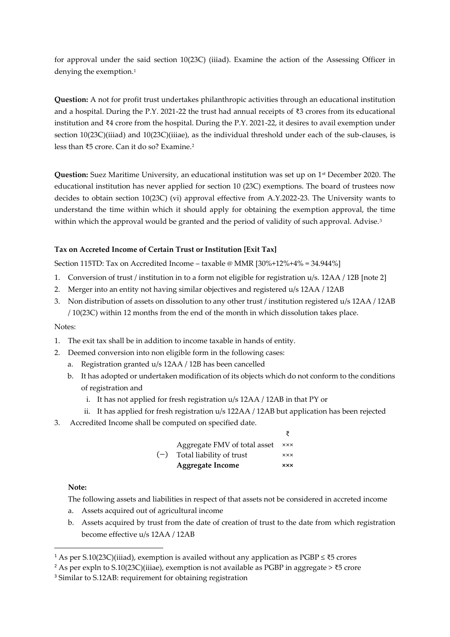for approval under the said section 10(23C) (iiiad). Examine the action of the Assessing Officer in denying the exemption.<sup>1</sup>

**Question:** A not for profit trust undertakes philanthropic activities through an educational institution and a hospital. During the P.Y. 2021-22 the trust had annual receipts of ₹3 crores from its educational institution and ₹4 crore from the hospital. During the P.Y. 2021-22, it desires to avail exemption under section 10(23C)(iiiad) and 10(23C)(iiiae), as the individual threshold under each of the sub-clauses, is less than ₹5 crore. Can it do so? Examine.<sup>2</sup>

**Question:** Suez Maritime University, an educational institution was set up on 1st December 2020. The educational institution has never applied for section 10 (23C) exemptions. The board of trustees now decides to obtain section 10(23C) (vi) approval effective from A.Y.2022-23. The University wants to understand the time within which it should apply for obtaining the exemption approval, the time within which the approval would be granted and the period of validity of such approval. Advise.<sup>3</sup>

# **Tax on Accreted Income of Certain Trust or Institution [Exit Tax]**

Section 115TD: Tax on Accredited Income – taxable @ MMR [30%+12%+4% = 34.944%]

- 1. Conversion of trust / institution in to a form not eligible for registration u/s. 12AA / 12B [note 2]
- 2. Merger into an entity not having similar objectives and registered u/s 12AA / 12AB
- 3. Non distribution of assets on dissolution to any other trust / institution registered u/s 12AA / 12AB / 10(23C) within 12 months from the end of the month in which dissolution takes place.

### Notes:

- 1. The exit tax shall be in addition to income taxable in hands of entity.
- 2. Deemed conversion into non eligible form in the following cases:
	- a. Registration granted u/s 12AA / 12B has been cancelled
	- b. It has adopted or undertaken modification of its objects which do not conform to the conditions of registration and
		- i. It has not applied for fresh registration u/s 12AA / 12AB in that PY or
		- ii. It has applied for fresh registration u/s 122AA / 12AB but application has been rejected
- 3. Accredited Income shall be computed on specified date.

|       | Aggregate FMV of total asset | <b>xxx</b> |
|-------|------------------------------|------------|
| $(-)$ | Total liability of trust     | <b>XXX</b> |
|       | <b>Aggregate Income</b>      | <b>xxx</b> |

#### **Note:**

The following assets and liabilities in respect of that assets not be considered in accreted income

- a. Assets acquired out of agricultural income
- b. Assets acquired by trust from the date of creation of trust to the date from which registration become effective u/s 12AA / 12AB

<sup>1</sup> As per S.10(23C)(iiiad), exemption is availed without any application as PGBP ≤ ₹5 crores

<sup>&</sup>lt;sup>2</sup> As per expln to S.10(23C)(iiiae), exemption is not available as PGBP in aggregate > ₹5 crore

<sup>3</sup> Similar to S.12AB: requirement for obtaining registration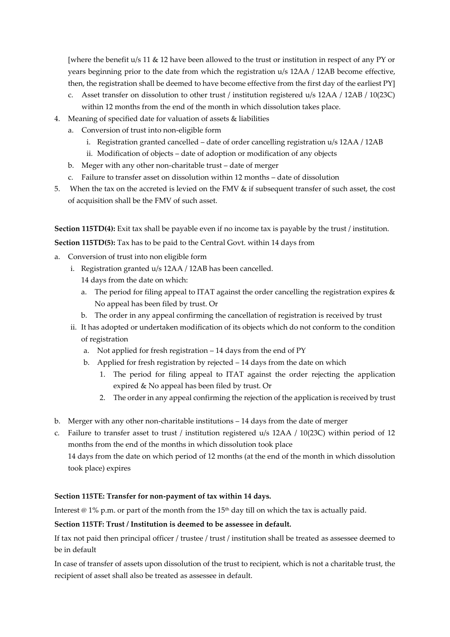[where the benefit u/s 11 & 12 have been allowed to the trust or institution in respect of any PY or years beginning prior to the date from which the registration u/s 12AA / 12AB become effective, then, the registration shall be deemed to have become effective from the first day of the earliest PY]

- c. Asset transfer on dissolution to other trust / institution registered u/s 12AA / 12AB / 10(23C) within 12 months from the end of the month in which dissolution takes place.
- 4. Meaning of specified date for valuation of assets & liabilities
	- a. Conversion of trust into non-eligible form
		- i. Registration granted cancelled date of order cancelling registration u/s 12AA / 12AB
		- ii. Modification of objects date of adoption or modification of any objects
	- b. Meger with any other non-charitable trust date of merger
	- c. Failure to transfer asset on dissolution within 12 months date of dissolution
- 5. When the tax on the accreted is levied on the FMV & if subsequent transfer of such asset, the cost of acquisition shall be the FMV of such asset.

**Section 115TD(4):** Exit tax shall be payable even if no income tax is payable by the trust / institution.

**Section 115TD(5):** Tax has to be paid to the Central Govt. within 14 days from

- a. Conversion of trust into non eligible form
	- i. Registration granted u/s 12AA / 12AB has been cancelled.
		- 14 days from the date on which:
		- a. The period for filing appeal to ITAT against the order cancelling the registration expires & No appeal has been filed by trust. Or
		- b. The order in any appeal confirming the cancellation of registration is received by trust
	- ii. It has adopted or undertaken modification of its objects which do not conform to the condition of registration
		- a. Not applied for fresh registration 14 days from the end of PY
		- b. Applied for fresh registration by rejected 14 days from the date on which
			- 1. The period for filing appeal to ITAT against the order rejecting the application expired & No appeal has been filed by trust. Or
			- 2. The order in any appeal confirming the rejection of the application is received by trust
- b. Merger with any other non-charitable institutions 14 days from the date of merger
- c. Failure to transfer asset to trust / institution registered u/s 12AA / 10(23C) within period of 12 months from the end of the months in which dissolution took place 14 days from the date on which period of 12 months (at the end of the month in which dissolution

# took place) expires

### **Section 115TE: Transfer for non-payment of tax within 14 days.**

Interest  $\omega$  1% p.m. or part of the month from the 15<sup>th</sup> day till on which the tax is actually paid.

### **Section 115TF: Trust / Institution is deemed to be assessee in default.**

If tax not paid then principal officer / trustee / trust / institution shall be treated as assessee deemed to be in default

In case of transfer of assets upon dissolution of the trust to recipient, which is not a charitable trust, the recipient of asset shall also be treated as assessee in default.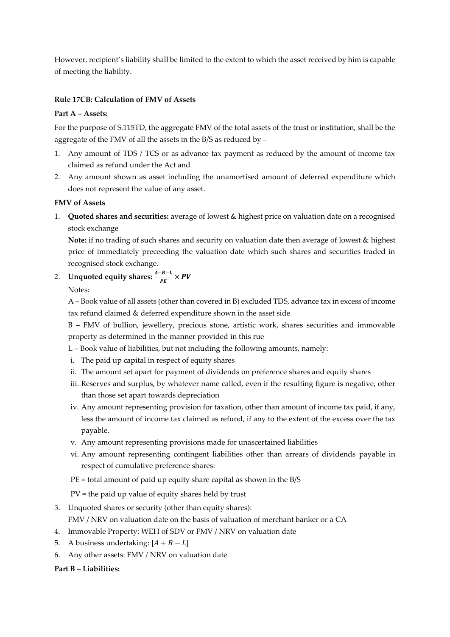However, recipient's liability shall be limited to the extent to which the asset received by him is capable of meeting the liability.

# **Rule 17CB: Calculation of FMV of Assets**

### **Part A – Assets:**

For the purpose of S.115TD, the aggregate FMV of the total assets of the trust or institution, shall be the aggregate of the FMV of all the assets in the B/S as reduced by –

- 1. Any amount of TDS / TCS or as advance tax payment as reduced by the amount of income tax claimed as refund under the Act and
- 2. Any amount shown as asset including the unamortised amount of deferred expenditure which does not represent the value of any asset.

# **FMV of Assets**

1. **Quoted shares and securities:** average of lowest & highest price on valuation date on a recognised stock exchange

**Note:** if no trading of such shares and security on valuation date then average of lowest & highest price of immediately preceeding the valuation date which such shares and securities traded in recognised stock exchange.

# 2. Unquoted equity shares:  $\frac{A-B-L}{PE} \times PV$

Notes:

A – Book value of all assets (other than covered in B) excluded TDS, advance tax in excess of income tax refund claimed & deferred expenditure shown in the asset side

B – FMV of bullion, jewellery, precious stone, artistic work, shares securities and immovable property as determined in the manner provided in this rue

L – Book value of liabilities, but not including the following amounts, namely:

- i. The paid up capital in respect of equity shares
- ii. The amount set apart for payment of dividends on preference shares and equity shares
- iii. Reserves and surplus, by whatever name called, even if the resulting figure is negative, other than those set apart towards depreciation
- iv. Any amount representing provision for taxation, other than amount of income tax paid, if any, less the amount of income tax claimed as refund, if any to the extent of the excess over the tax payable.
- v. Any amount representing provisions made for unascertained liabilities
- vi. Any amount representing contingent liabilities other than arrears of dividends payable in respect of cumulative preference shares:
- PE = total amount of paid up equity share capital as shown in the B/S

PV = the paid up value of equity shares held by trust

- 3. Unquoted shares or security (other than equity shares):
	- FMV / NRV on valuation date on the basis of valuation of merchant banker or a CA
- 4. Immovable Property: WEH of SDV or FMV / NRV on valuation date
- 5. A business undertaking:  $[A + B L]$
- 6. Any other assets: FMV / NRV on valuation date

### **Part B – Liabilities:**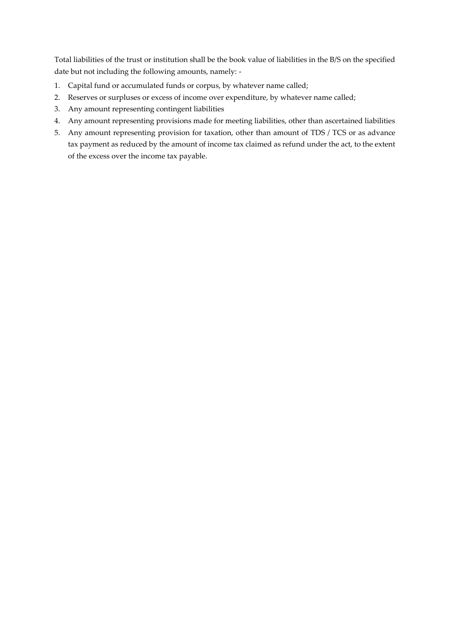Total liabilities of the trust or institution shall be the book value of liabilities in the B/S on the specified date but not including the following amounts, namely: -

- 1. Capital fund or accumulated funds or corpus, by whatever name called;
- 2. Reserves or surpluses or excess of income over expenditure, by whatever name called;
- 3. Any amount representing contingent liabilities
- 4. Any amount representing provisions made for meeting liabilities, other than ascertained liabilities
- 5. Any amount representing provision for taxation, other than amount of TDS / TCS or as advance tax payment as reduced by the amount of income tax claimed as refund under the act, to the extent of the excess over the income tax payable.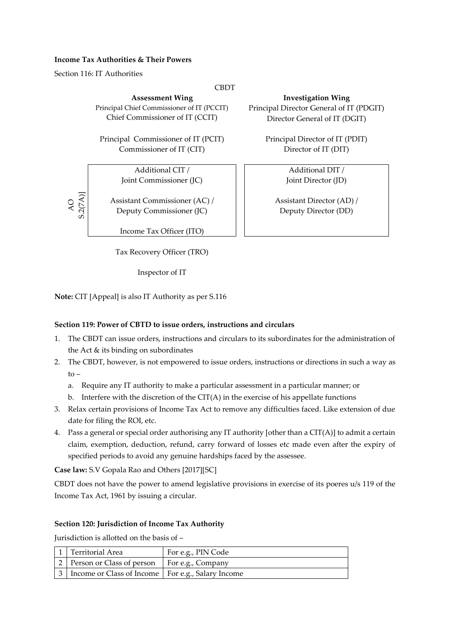#### **Income Tax Authorities & Their Powers**

Section 116: IT Authorities

AO S.2(7A)]

#### **CBDT**

Principal Chief Commissioner of IT (PCCIT) Chief Commissioner of IT (CCIT)

Principal Commissioner of IT (PCIT) Commissioner of IT (CIT)

> Additional CIT / Joint Commissioner (JC)

Assistant Commissioner (AC) / Deputy Commissioner (JC)

Income Tax Officer (ITO)

Tax Recovery Officer (TRO)

Inspector of IT

**Note:** CIT [Appeal] is also IT Authority as per S.116

### **Section 119: Power of CBTD to issue orders, instructions and circulars**

- 1. The CBDT can issue orders, instructions and circulars to its subordinates for the administration of the Act & its binding on subordinates
- 2. The CBDT, however, is not empowered to issue orders, instructions or directions in such a way as to –
	- a. Require any IT authority to make a particular assessment in a particular manner; or
	- b. Interfere with the discretion of the CIT(A) in the exercise of his appellate functions
- 3. Relax certain provisions of Income Tax Act to remove any difficulties faced. Like extension of due date for filing the ROI, etc.
- 4. Pass a general or special order authorising any IT authority [other than a CIT(A)] to admit a certain claim, exemption, deduction, refund, carry forward of losses etc made even after the expiry of specified periods to avoid any genuine hardships faced by the assessee.

**Case law:** S.V Gopala Rao and Others [2017][SC]

CBDT does not have the power to amend legislative provisions in exercise of its poeres u/s 119 of the Income Tax Act, 1961 by issuing a circular.

### **Section 120: Jurisdiction of Income Tax Authority**

Jurisdiction is allotted on the basis of –

| 1   Territorial Area                                    | For e.g., PIN Code |
|---------------------------------------------------------|--------------------|
| 2   Person or Class of person   For e.g., Company       |                    |
| 3   Income or Class of Income   For e.g., Salary Income |                    |

**Assessment Wing Investigation Wing**

Principal Director General of IT (PDGIT) Director General of IT (DGIT)

> Principal Director of IT (PDIT) Director of IT (DIT)

> > Additional DIT / Joint Director (JD)

Assistant Director (AD) / Deputy Director (DD)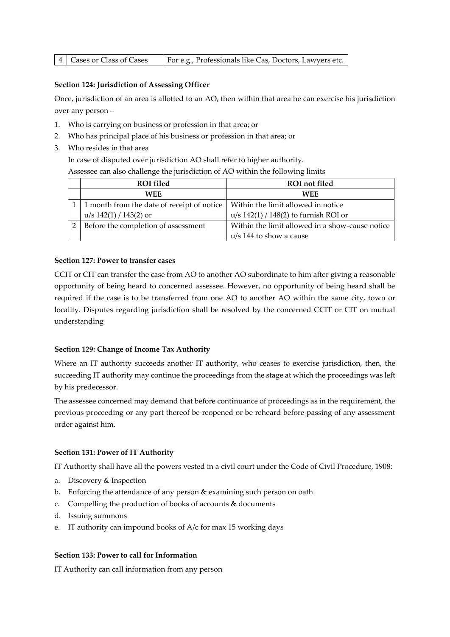#### **Section 124: Jurisdiction of Assessing Officer**

Once, jurisdiction of an area is allotted to an AO, then within that area he can exercise his jurisdiction over any person –

- 1. Who is carrying on business or profession in that area; or
- 2. Who has principal place of his business or profession in that area; or
- 3. Who resides in that area In case of disputed over jurisdiction AO shall refer to higher authority.

Assessee can also challenge the jurisdiction of AO within the following limits

| <b>ROI</b> filed                             | <b>ROI</b> not filed                            |
|----------------------------------------------|-------------------------------------------------|
| <b>WEE</b>                                   | <b>WFF</b>                                      |
| 1 1 month from the date of receipt of notice | Within the limit allowed in notice              |
| $u/s$ 142(1) / 143(2) or                     | $u/s$ 142(1) / 148(2) to furnish ROI or         |
| Before the completion of assessment          | Within the limit allowed in a show-cause notice |
|                                              | $u/s$ 144 to show a cause                       |

#### **Section 127: Power to transfer cases**

CCIT or CIT can transfer the case from AO to another AO subordinate to him after giving a reasonable opportunity of being heard to concerned assessee. However, no opportunity of being heard shall be required if the case is to be transferred from one AO to another AO within the same city, town or locality. Disputes regarding jurisdiction shall be resolved by the concerned CCIT or CIT on mutual understanding

#### **Section 129: Change of Income Tax Authority**

Where an IT authority succeeds another IT authority, who ceases to exercise jurisdiction, then, the succeeding IT authority may continue the proceedings from the stage at which the proceedings was left by his predecessor.

The assessee concerned may demand that before continuance of proceedings as in the requirement, the previous proceeding or any part thereof be reopened or be reheard before passing of any assessment order against him.

#### **Section 131: Power of IT Authority**

IT Authority shall have all the powers vested in a civil court under the Code of Civil Procedure, 1908:

- a. Discovery & Inspection
- b. Enforcing the attendance of any person & examining such person on oath
- c. Compelling the production of books of accounts & documents
- d. Issuing summons
- e. IT authority can impound books of A/c for max 15 working days

#### **Section 133: Power to call for Information**

IT Authority can call information from any person